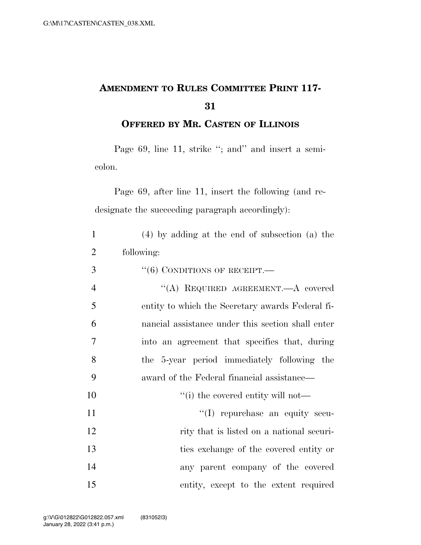## **AMENDMENT TO RULES COMMITTEE PRINT 117-**

**OFFERED BY MR. CASTEN OF ILLINOIS**

Page 69, line 11, strike "; and" and insert a semicolon.

Page 69, after line 11, insert the following (and redesignate the succeeding paragraph accordingly):

| $\mathbf{1}$   | $(4)$ by adding at the end of subsection (a) the  |
|----------------|---------------------------------------------------|
| $\overline{2}$ | following:                                        |
| 3              | $``(6)$ CONDITIONS OF RECEIPT.—                   |
| $\overline{4}$ | "(A) REQUIRED AGREEMENT.—A covered                |
| 5              | entity to which the Secretary awards Federal fi-  |
| 6              | nancial assistance under this section shall enter |
| 7              | into an agreement that specifies that, during     |
| 8              | the 5-year period immediately following the       |
| 9              | award of the Federal financial assistance—        |
| 10             | "(i) the covered entity will not—                 |
| 11             | "(I) repurchase an equity secu-                   |
| 12             | rity that is listed on a national securi-         |
| 13             | ties exchange of the covered entity or            |
| 14             | any parent company of the covered                 |
| 15             | entity, except to the extent required             |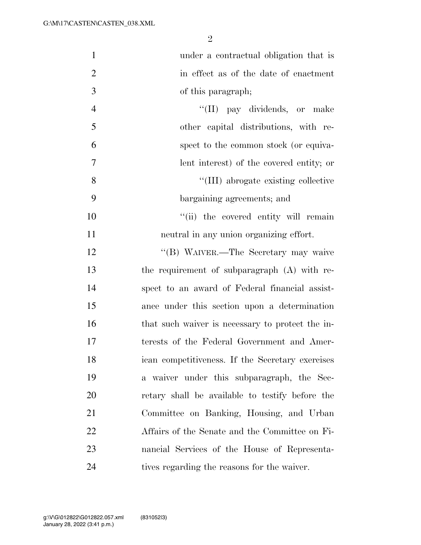| $\mathbf{1}$   | under a contractual obligation that is           |
|----------------|--------------------------------------------------|
| $\overline{2}$ | in effect as of the date of enactment            |
| 3              | of this paragraph;                               |
| $\overline{4}$ | "(II) pay dividends, or make                     |
| 5              | other capital distributions, with re-            |
| 6              | spect to the common stock (or equiva-            |
| $\overline{7}$ | lent interest) of the covered entity; or         |
| 8              | "(III) abrogate existing collective              |
| 9              | bargaining agreements; and                       |
| 10             | "(ii) the covered entity will remain             |
| 11             | neutral in any union organizing effort.          |
| 12             | "(B) WAIVER.—The Secretary may waive             |
| 13             | the requirement of subparagraph (A) with re-     |
| 14             | spect to an award of Federal financial assist-   |
| 15             | ance under this section upon a determination     |
| 16             | that such waiver is necessary to protect the in- |
| 17             | terests of the Federal Government and Amer-      |
| 18             | ican competitiveness. If the Secretary exercises |
| 19             | a waiver under this subparagraph, the Sec-       |
| 20             | retary shall be available to testify before the  |
| 21             | Committee on Banking, Housing, and Urban         |
| 22             | Affairs of the Senate and the Committee on Fi-   |
| 23             | nancial Services of the House of Representa-     |
| 24             | tives regarding the reasons for the waiver.      |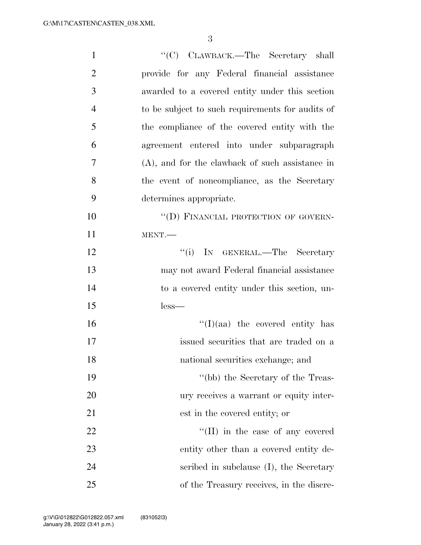| $\mathbf{1}$   | "(C) CLAWBACK.—The Secretary shall                 |
|----------------|----------------------------------------------------|
| $\overline{2}$ | provide for any Federal financial assistance       |
| 3              | awarded to a covered entity under this section     |
| $\overline{4}$ | to be subject to such requirements for audits of   |
| 5              | the compliance of the covered entity with the      |
| 6              | agreement entered into under subparagraph          |
| 7              | $(A)$ , and for the clawback of such assistance in |
| 8              | the event of noncompliance, as the Secretary       |
| 9              | determines appropriate.                            |
| 10             | "(D) FINANCIAL PROTECTION OF GOVERN-               |
| 11             | MENT.                                              |
| 12             | "(i) IN GENERAL.—The Secretary                     |
| 13             | may not award Federal financial assistance         |
| 14             | to a covered entity under this section, un-        |
| 15             | $less-$                                            |
| 16             | $\lq(1)(aa)$ the covered entity has                |
| 17             | issued securities that are traded on a             |
| 18             | national securities exchange; and                  |
| 19             | "(bb) the Secretary of the Treas-                  |
| 20             | ury receives a warrant or equity inter-            |
| 21             | est in the covered entity; or                      |
| 22             | "(II) in the case of any covered                   |
| 23             | entity other than a covered entity de-             |
| 24             | scribed in subclause (I), the Secretary            |
| 25             | of the Treasury receives, in the discre-           |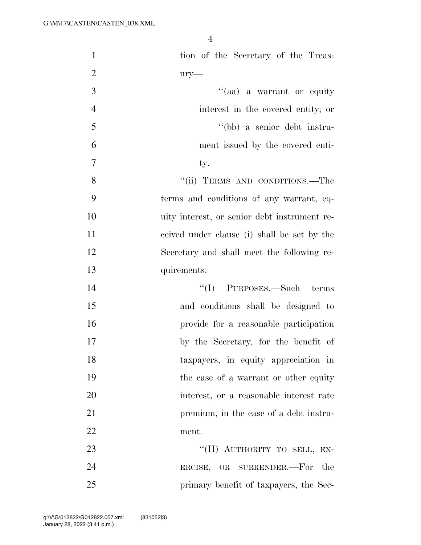| $\mathbf{1}$   | tion of the Secretary of the Treas-          |
|----------------|----------------------------------------------|
| $\overline{2}$ | $ury-$                                       |
| 3              | "(aa) a warrant or equity                    |
| $\overline{4}$ | interest in the covered entity; or           |
| 5              | "(bb) a senior debt instru-                  |
| 6              | ment issued by the covered enti-             |
| $\tau$         | ty.                                          |
| 8              | "(ii) TERMS AND CONDITIONS.—The              |
| 9              | terms and conditions of any warrant, eq-     |
| 10             | uity interest, or senior debt instrument re- |
| 11             | ceived under clause (i) shall be set by the  |
| 12             | Secretary and shall meet the following re-   |
| 13             | quirements:                                  |
| 14             | "(I) PURPOSES.—Such terms                    |
| 15             | and conditions shall be designed to          |
| 16             | provide for a reasonable participation       |
| 17             | by the Secretary, for the benefit of         |
| 18             | taxpayers, in equity appreciation in         |
| 19             | the case of a warrant or other equity        |
| 20             | interest, or a reasonable interest rate      |
| 21             | premium, in the case of a debt instru-       |
| 22             | ment.                                        |
| 23             | "(II) AUTHORITY TO SELL, EX-                 |
| 24             | ERCISE, OR SURRENDER.—For the                |
| 25             | primary benefit of taxpayers, the Sec-       |